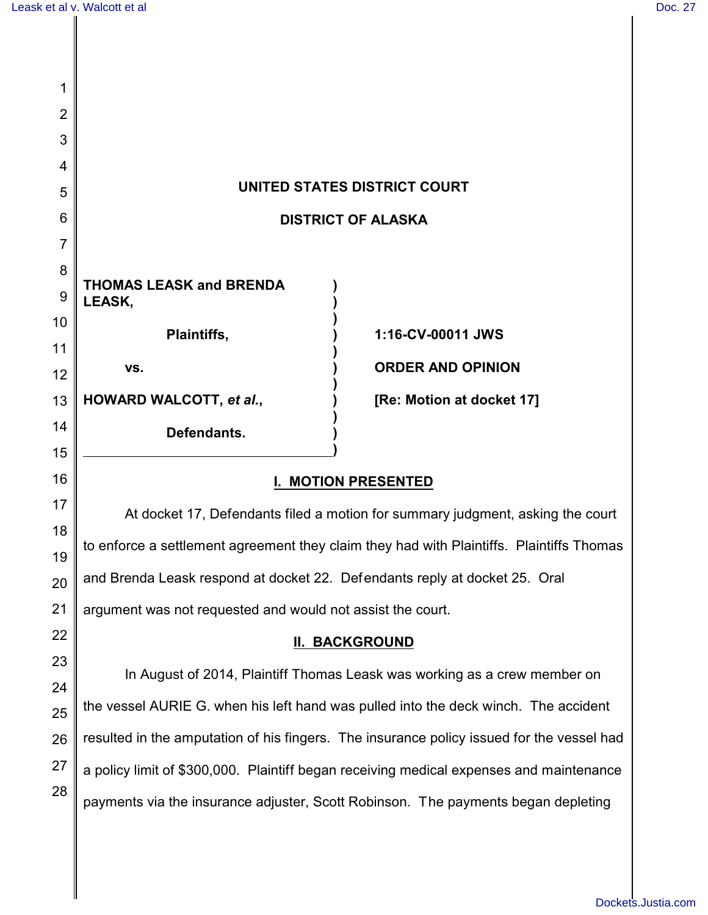| 1              |                                                                                           |                           |
|----------------|-------------------------------------------------------------------------------------------|---------------------------|
| $\overline{2}$ |                                                                                           |                           |
| 3              |                                                                                           |                           |
| 4              |                                                                                           |                           |
| 5              | UNITED STATES DISTRICT COURT                                                              |                           |
| 6              | <b>DISTRICT OF ALASKA</b>                                                                 |                           |
| 7              |                                                                                           |                           |
| 8              | <b>THOMAS LEASK and BRENDA</b>                                                            |                           |
| 9              | LEASK,                                                                                    |                           |
| 10             | Plaintiffs,                                                                               | 1:16-CV-00011 JWS         |
| 11             | VS.                                                                                       | <b>ORDER AND OPINION</b>  |
| 12             |                                                                                           |                           |
| 13             | HOWARD WALCOTT, et al.,                                                                   | [Re: Motion at docket 17] |
| 14             | Defendants.                                                                               |                           |
| 15             |                                                                                           |                           |
| 16             | <b>I. MOTION PRESENTED</b>                                                                |                           |
| 17             | At docket 17, Defendants filed a motion for summary judgment, asking the court            |                           |
| 18<br>19       | to enforce a settlement agreement they claim they had with Plaintiffs. Plaintiffs Thomas  |                           |
| 20             | and Brenda Leask respond at docket 22. Defendants reply at docket 25. Oral                |                           |
| 21             | argument was not requested and would not assist the court.                                |                           |
| 22             | <b>II. BACKGROUND</b>                                                                     |                           |
| 23             | In August of 2014, Plaintiff Thomas Leask was working as a crew member on                 |                           |
| 24             |                                                                                           |                           |
| 25             | the vessel AURIE G. when his left hand was pulled into the deck winch. The accident       |                           |
| 26             | resulted in the amputation of his fingers. The insurance policy issued for the vessel had |                           |
| 27             | a policy limit of \$300,000. Plaintiff began receiving medical expenses and maintenance   |                           |
| 28             |                                                                                           |                           |

payments via the insurance adjuster, Scott Robinson. The payments began depleting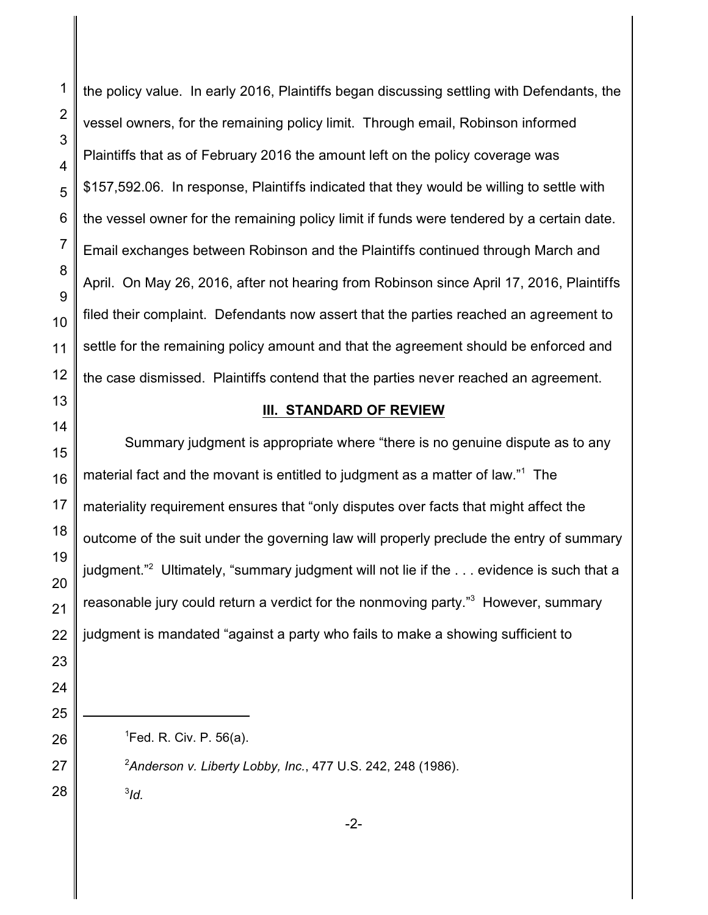1

vessel owners, for the remaining policy limit. Through email, Robinson informed Plaintiffs that as of February 2016 the amount left on the policy coverage was \$157,592.06. In response, Plaintiffs indicated that they would be willing to settle with the vessel owner for the remaining policy limit if funds were tendered by a certain date. Email exchanges between Robinson and the Plaintiffs continued through March and April. On May 26, 2016, after not hearing from Robinson since April 17, 2016, Plaintiffs filed their complaint. Defendants now assert that the parties reached an agreement to settle for the remaining policy amount and that the agreement should be enforced and

the policy value. In early 2016, Plaintiffs began discussing settling with Defendants, the

## **III. STANDARD OF REVIEW**

Summary judgment is appropriate where "there is no genuine dispute as to any material fact and the movant is entitled to judgment as a matter of law." $^{\text{1}}\,$  The materiality requirement ensures that "only disputes over facts that might affect the outcome of the suit under the governing law will properly preclude the entry of summary judgment."<sup>2</sup> Ultimately, "summary judgment will not lie if the . . . evidence is such that a reasonable jury could return a verdict for the nonmoving party."<sup>3</sup> However, summary judgment is mandated "against a party who fails to make a showing sufficient to

<sup>2</sup>*Anderson v. Liberty Lobby, Inc.*, 477 U.S. 242, 248 (1986).

3 *Id.*

28

 ${}^{1}$ Fed. R. Civ. P. 56(a).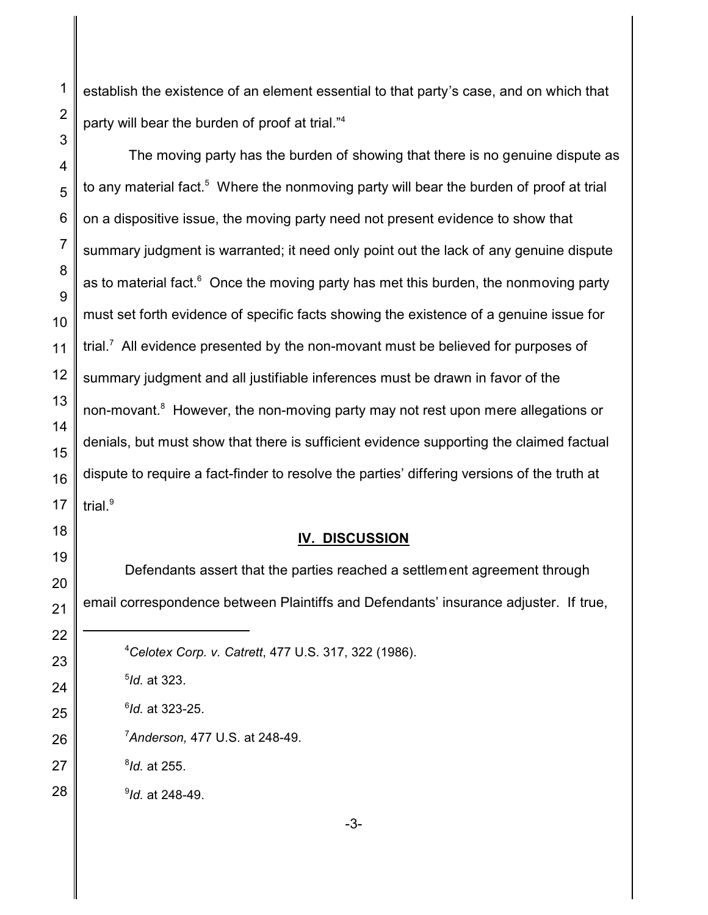establish the existence of an element essential to that party's case, and on which that party will bear the burden of proof at trial."<sup>4</sup>

 The moving party has the burden of showing that there is no genuine dispute as to any material fact.<sup>5</sup> Where the nonmoving party will bear the burden of proof at trial on a dispositive issue, the moving party need not present evidence to show that summary judgment is warranted; it need only point out the lack of any genuine dispute as to material fact. $^6$  Once the moving party has met this burden, the nonmoving party must set forth evidence of specific facts showing the existence of a genuine issue for trial.<sup>7</sup> All evidence presented by the non-movant must be believed for purposes of summary judgment and all justifiable inferences must be drawn in favor of the non-movant.<sup>8</sup> However, the non-moving party may not rest upon mere allegations or denials, but must show that there is sufficient evidence supporting the claimed factual dispute to require a fact-finder to resolve the parties' differing versions of the truth at trial.<sup>9</sup>

## **IV. DISCUSSION**

Defendants assert that the parties reached a settlement agreement through email correspondence between Plaintiffs and Defendants' insurance adjuster. If true,

- *Celotex Corp. v. Catrett*, 477 U.S. 317, 322 (1986).
- *Id.* at 323.
- *Id.* at 323-25.
- *Anderson,* 477 U.S. at 248-49.
- *Id.* at 255.
- *Id.* at 248-49.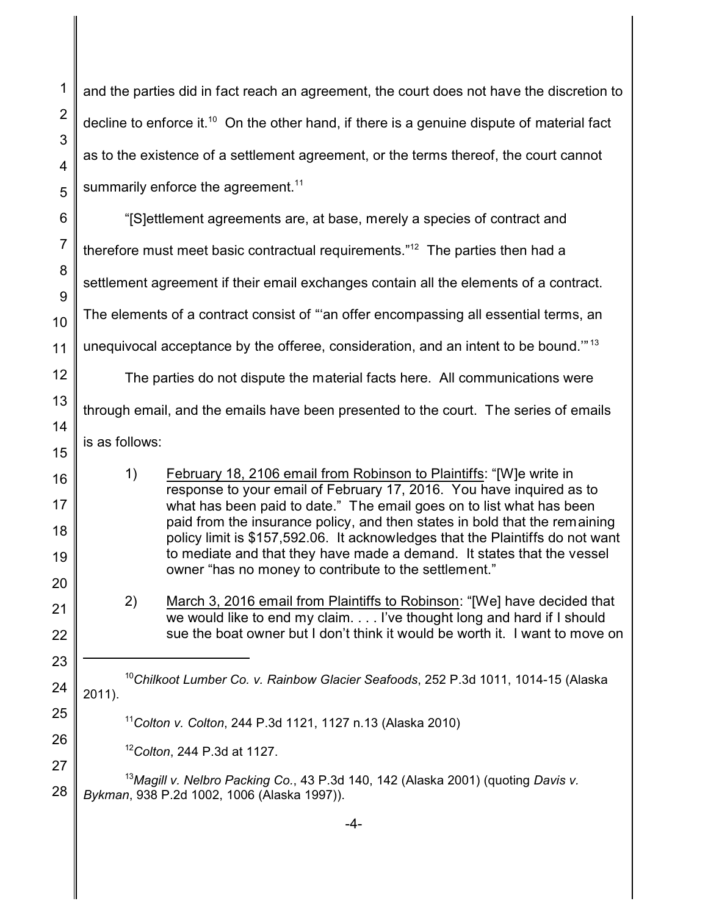and the parties did in fact reach an agreement, the court does not have the discretion to decline to enforce it.<sup>10</sup> On the other hand, if there is a genuine dispute of material fact as to the existence of a settlement agreement, or the terms thereof, the court cannot summarily enforce the agreement.<sup>11</sup>

"[S]ettlement agreements are, at base, merely a species of contract and therefore must meet basic contractual requirements." $^{12}$  The parties then had a settlement agreement if their email exchanges contain all the elements of a contract. The elements of a contract consist of "'an offer encompassing all essential terms, an unequivocal acceptance by the offeree, consideration, and an intent to be bound.'" <sup>13</sup> The parties do not dispute the material facts here. All communications were

through email, and the emails have been presented to the court. The series of emails is as follows:

1) February 18, 2106 email from Robinson to Plaintiffs: "[W]e write in response to your email of February 17, 2016. You have inquired as to what has been paid to date." The email goes on to list what has been paid from the insurance policy, and then states in bold that the remaining policy limit is \$157,592.06. It acknowledges that the Plaintiffs do not want to mediate and that they have made a demand. It states that the vessel owner "has no money to contribute to the settlement."

2) March 3, 2016 email from Plaintiffs to Robinson: "[We] have decided that we would like to end my claim. . . . I've thought long and hard if I should sue the boat owner but I don't think it would be worth it. I want to move on

<sup>10</sup>*Chilkoot Lumber Co. v. Rainbow Glacier Seafoods*, 252 P.3d 1011, 1014-15 (Alaska 2011).

<sup>11</sup>*Colton v. Colton*, 244 P.3d 1121, 1127 n.13 (Alaska 2010)

<sup>12</sup>*Colton*, 244 P.3d at 1127.

<sup>13</sup>*Magill v. Nelbro Packing Co.*, 43 P.3d 140, 142 (Alaska 2001) (quoting *Davis v. Bykman*, 938 P.2d 1002, 1006 (Alaska 1997)).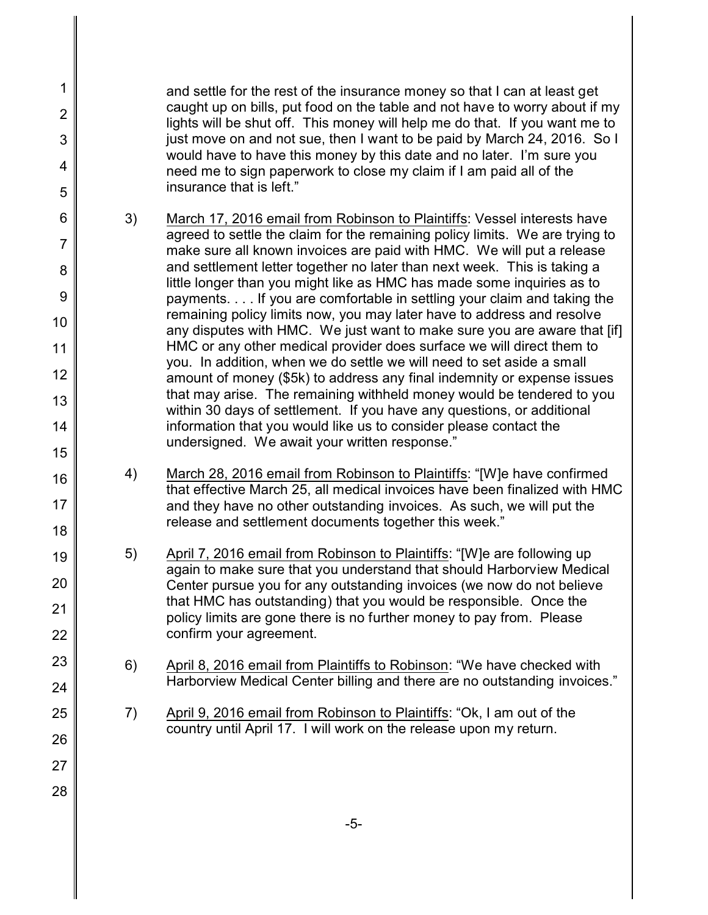and settle for the rest of the insurance money so that I can at least get caught up on bills, put food on the table and not have to worry about if my lights will be shut off. This money will help me do that. If you want me to just move on and not sue, then I want to be paid by March 24, 2016. So I would have to have this money by this date and no later. I'm sure you need me to sign paperwork to close my claim if I am paid all of the insurance that is left."

- 3) March 17, 2016 email from Robinson to Plaintiffs: Vessel interests have agreed to settle the claim for the remaining policy limits. We are trying to make sure all known invoices are paid with HMC. We will put a release and settlement letter together no later than next week. This is taking a little longer than you might like as HMC has made some inquiries as to payments. . . . If you are comfortable in settling your claim and taking the remaining policy limits now, you may later have to address and resolve any disputes with HMC. We just want to make sure you are aware that [if] HMC or any other medical provider does surface we will direct them to you. In addition, when we do settle we will need to set aside a small amount of money (\$5k) to address any final indemnity or expense issues that may arise. The remaining withheld money would be tendered to you within 30 days of settlement. If you have any questions, or additional information that you would like us to consider please contact the undersigned. We await your written response."
	- 4) March 28, 2016 email from Robinson to Plaintiffs: "[W]e have confirmed that effective March 25, all medical invoices have been finalized with HMC and they have no other outstanding invoices. As such, we will put the release and settlement documents together this week."
	- 5) April 7, 2016 email from Robinson to Plaintiffs: "[W]e are following up again to make sure that you understand that should Harborview Medical Center pursue you for any outstanding invoices (we now do not believe that HMC has outstanding) that you would be responsible. Once the policy limits are gone there is no further money to pay from. Please confirm your agreement.
		- 6) April 8, 2016 email from Plaintiffs to Robinson: "We have checked with Harborview Medical Center billing and there are no outstanding invoices."
	- 7) April 9, 2016 email from Robinson to Plaintiffs: "Ok, I am out of the country until April 17. I will work on the release upon my return.
- 11 12 13 14 15 16 17 18 19 20 21 22 23 24 25 26 27

28

1

2

3

4

5

6

7

8

9

10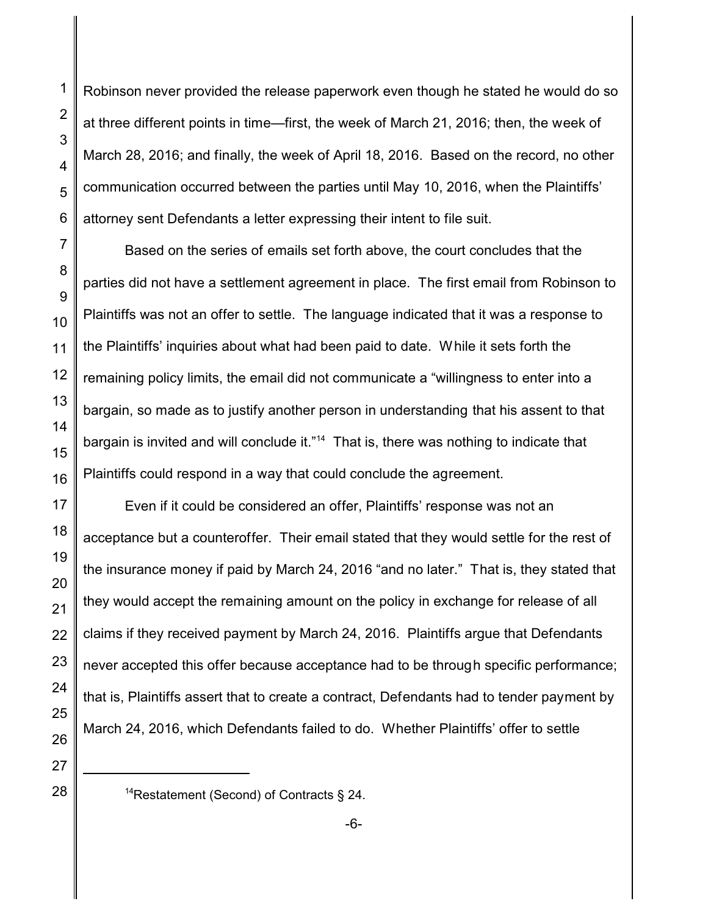1

2

3

Robinson never provided the release paperwork even though he stated he would do so at three different points in time—first, the week of March 21, 2016; then, the week of March 28, 2016; and finally, the week of April 18, 2016. Based on the record, no other communication occurred between the parties until May 10, 2016, when the Plaintiffs' attorney sent Defendants a letter expressing their intent to file suit.

Based on the series of emails set forth above, the court concludes that the parties did not have a settlement agreement in place. The first email from Robinson to Plaintiffs was not an offer to settle. The language indicated that it was a response to the Plaintiffs' inquiries about what had been paid to date. While it sets forth the remaining policy limits, the email did not communicate a "willingness to enter into a bargain, so made as to justify another person in understanding that his assent to that bargain is invited and will conclude it."<sup>14</sup> That is, there was nothing to indicate that Plaintiffs could respond in a way that could conclude the agreement.

Even if it could be considered an offer, Plaintiffs' response was not an acceptance but a counteroffer. Their email stated that they would settle for the rest of the insurance money if paid by March 24, 2016 "and no later." That is, they stated that they would accept the remaining amount on the policy in exchange for release of all claims if they received payment by March 24, 2016. Plaintiffs argue that Defendants never accepted this offer because acceptance had to be through specific performance; that is, Plaintiffs assert that to create a contract, Defendants had to tender payment by March 24, 2016, which Defendants failed to do. Whether Plaintiffs' offer to settle

<sup>&</sup>lt;sup>14</sup>Restatement (Second) of Contracts § 24.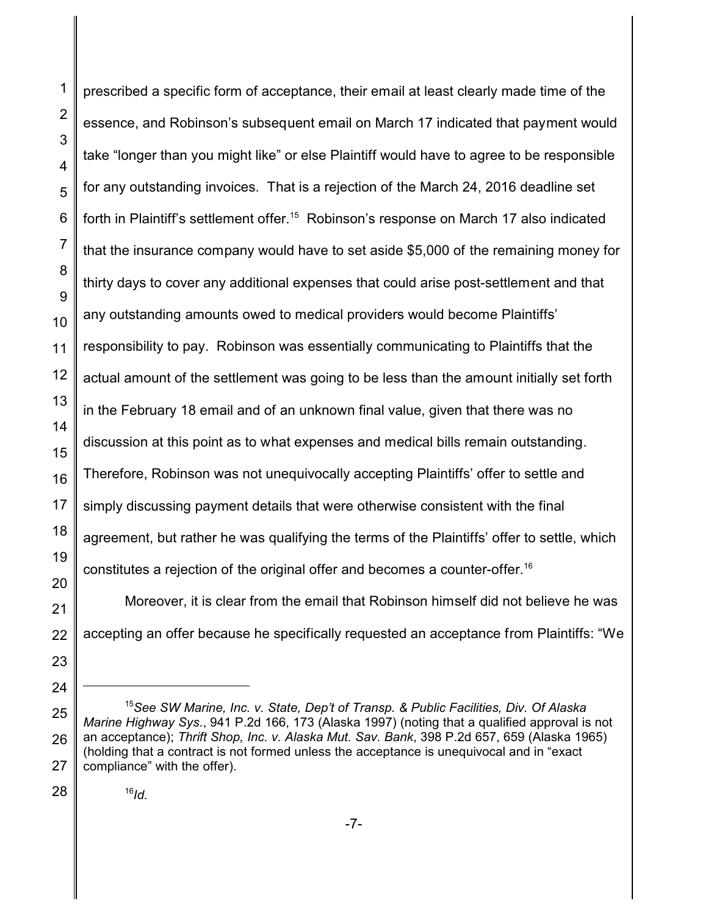prescribed a specific form of acceptance, their email at least clearly made time of the essence, and Robinson's subsequent email on March 17 indicated that payment would take "longer than you might like" or else Plaintiff would have to agree to be responsible for any outstanding invoices. That is a rejection of the March 24, 2016 deadline set forth in Plaintiff's settlement offer.<sup>15</sup> Robinson's response on March 17 also indicated that the insurance company would have to set aside \$5,000 of the remaining money for thirty days to cover any additional expenses that could arise post-settlement and that any outstanding amounts owed to medical providers would become Plaintiffs' responsibility to pay. Robinson was essentially communicating to Plaintiffs that the actual amount of the settlement was going to be less than the amount initially set forth in the February 18 email and of an unknown final value, given that there was no discussion at this point as to what expenses and medical bills remain outstanding. Therefore, Robinson was not unequivocally accepting Plaintiffs' offer to settle and simply discussing payment details that were otherwise consistent with the final agreement, but rather he was qualifying the terms of the Plaintiffs' offer to settle, which constitutes a rejection of the original offer and becomes a counter-offer.<sup>16</sup>

Moreover, it is clear from the email that Robinson himself did not believe he was accepting an offer because he specifically requested an acceptance from Plaintiffs: "We

## 16 *Id.*

<sup>15</sup>*See SW Marine, Inc. v. State, Dep't of Transp. & Public Facilities, Div. Of Alaska Marine Highway Sys*., 941 P.2d 166, 173 (Alaska 1997) (noting that a qualified approval is not an acceptance); *Thrift Shop, Inc. v. Alaska Mut. Sav. Bank*, 398 P.2d 657, 659 (Alaska 1965) (holding that a contract is not formed unless the acceptance is unequivocal and in "exact compliance" with the offer).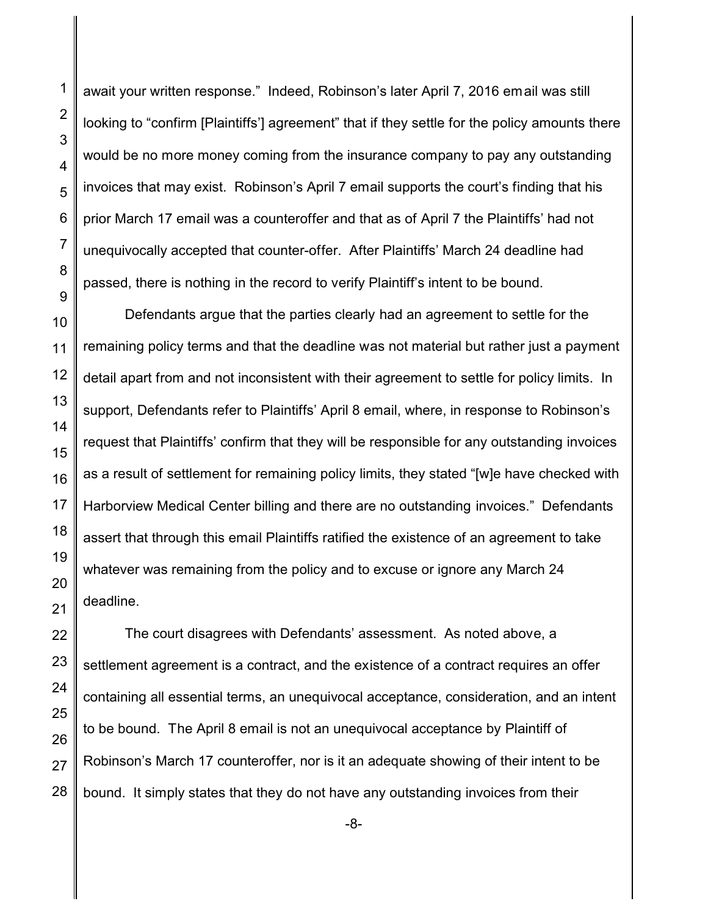1

2

await your written response." Indeed, Robinson's later April 7, 2016 email was still looking to "confirm [Plaintiffs'] agreement" that if they settle for the policy amounts there would be no more money coming from the insurance company to pay any outstanding invoices that may exist. Robinson's April 7 email supports the court's finding that his prior March 17 email was a counteroffer and that as of April 7 the Plaintiffs' had not unequivocally accepted that counter-offer. After Plaintiffs' March 24 deadline had passed, there is nothing in the record to verify Plaintiff's intent to be bound.

Defendants argue that the parties clearly had an agreement to settle for the remaining policy terms and that the deadline was not material but rather just a payment detail apart from and not inconsistent with their agreement to settle for policy limits. In support, Defendants refer to Plaintiffs' April 8 email, where, in response to Robinson's request that Plaintiffs' confirm that they will be responsible for any outstanding invoices as a result of settlement for remaining policy limits, they stated "[w]e have checked with Harborview Medical Center billing and there are no outstanding invoices." Defendants assert that through this email Plaintiffs ratified the existence of an agreement to take whatever was remaining from the policy and to excuse or ignore any March 24 deadline.

The court disagrees with Defendants' assessment. As noted above, a settlement agreement is a contract, and the existence of a contract requires an offer containing all essential terms, an unequivocal acceptance, consideration, and an intent to be bound. The April 8 email is not an unequivocal acceptance by Plaintiff of Robinson's March 17 counteroffer, nor is it an adequate showing of their intent to be bound. It simply states that they do not have any outstanding invoices from their

-8-